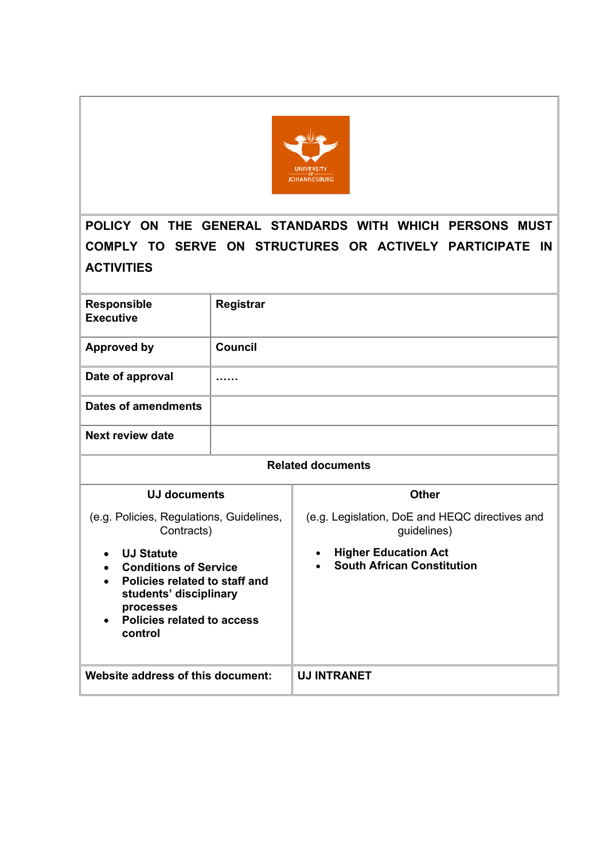

**POLICY ON THE GENERAL STANDARDS WITH WHICH PERSONS MUST COMPLY TO SERVE ON STRUCTURES OR ACTIVELY PARTICIPATE IN ACTIVITIES**

| <b>Responsible</b><br><b>Executive</b>                                                                                                                                    | Registrar      |                                                                  |  |  |
|---------------------------------------------------------------------------------------------------------------------------------------------------------------------------|----------------|------------------------------------------------------------------|--|--|
| <b>Approved by</b>                                                                                                                                                        | <b>Council</b> |                                                                  |  |  |
| Date of approval                                                                                                                                                          |                |                                                                  |  |  |
| <b>Dates of amendments</b>                                                                                                                                                |                |                                                                  |  |  |
| Next review date                                                                                                                                                          |                |                                                                  |  |  |
| <b>Related documents</b>                                                                                                                                                  |                |                                                                  |  |  |
| <b>UJ documents</b>                                                                                                                                                       |                | <b>Other</b>                                                     |  |  |
| (e.g. Policies, Regulations, Guidelines,<br>Contracts)                                                                                                                    |                | (e.g. Legislation, DoE and HEQC directives and<br>guidelines)    |  |  |
| <b>UJ Statute</b><br><b>Conditions of Service</b><br>Policies related to staff and<br>students' disciplinary<br>processes<br><b>Policies related to access</b><br>control |                | <b>Higher Education Act</b><br><b>South African Constitution</b> |  |  |
| Website address of this document:                                                                                                                                         |                | <b>UJ INTRANET</b>                                               |  |  |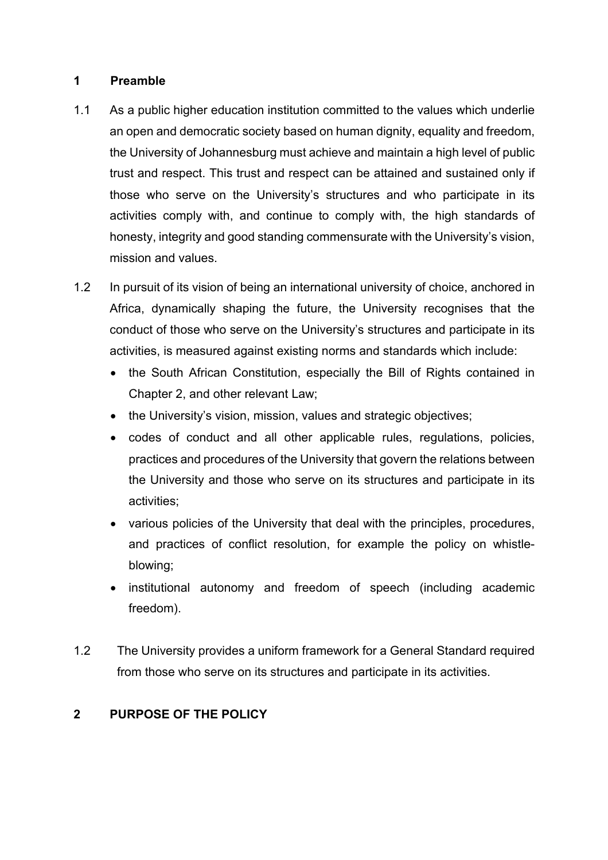#### **1 Preamble**

- 1.1 As a public higher education institution committed to the values which underlie an open and democratic society based on human dignity, equality and freedom, the University of Johannesburg must achieve and maintain a high level of public trust and respect. This trust and respect can be attained and sustained only if those who serve on the University's structures and who participate in its activities comply with, and continue to comply with, the high standards of honesty, integrity and good standing commensurate with the University's vision, mission and values.
- 1.2 In pursuit of its vision of being an international university of choice, anchored in Africa, dynamically shaping the future, the University recognises that the conduct of those who serve on the University's structures and participate in its activities, is measured against existing norms and standards which include:
	- the South African Constitution, especially the Bill of Rights contained in Chapter 2, and other relevant Law;
	- the University's vision, mission, values and strategic objectives;
	- codes of conduct and all other applicable rules, regulations, policies, practices and procedures of the University that govern the relations between the University and those who serve on its structures and participate in its activities;
	- various policies of the University that deal with the principles, procedures, and practices of conflict resolution, for example the policy on whistleblowing;
	- institutional autonomy and freedom of speech (including academic freedom).
- 1.2 The University provides a uniform framework for a General Standard required from those who serve on its structures and participate in its activities.

# **2 PURPOSE OF THE POLICY**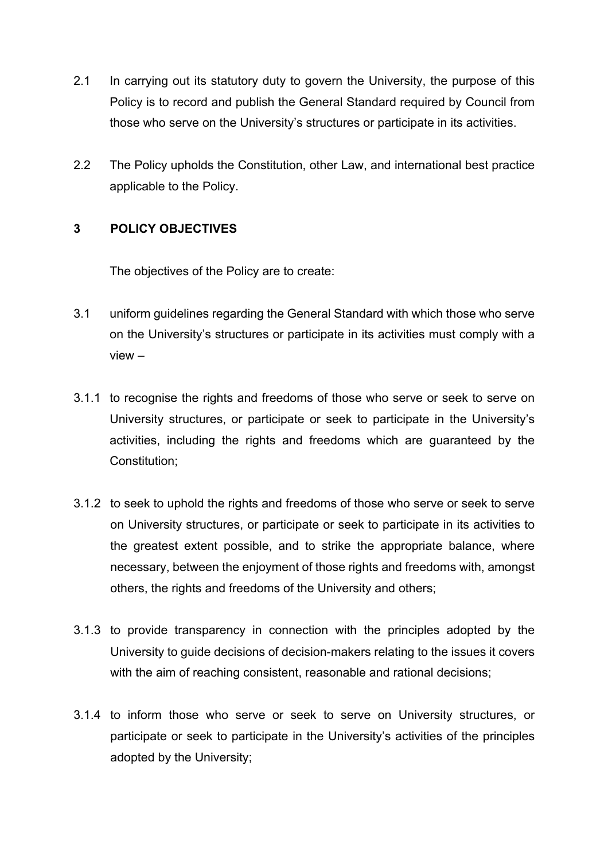- 2.1 In carrying out its statutory duty to govern the University, the purpose of this Policy is to record and publish the General Standard required by Council from those who serve on the University's structures or participate in its activities.
- 2.2 The Policy upholds the Constitution, other Law, and international best practice applicable to the Policy.

# **3 POLICY OBJECTIVES**

The objectives of the Policy are to create:

- 3.1 uniform guidelines regarding the General Standard with which those who serve on the University's structures or participate in its activities must comply with a view –
- 3.1.1 to recognise the rights and freedoms of those who serve or seek to serve on University structures, or participate or seek to participate in the University's activities, including the rights and freedoms which are guaranteed by the Constitution;
- 3.1.2 to seek to uphold the rights and freedoms of those who serve or seek to serve on University structures, or participate or seek to participate in its activities to the greatest extent possible, and to strike the appropriate balance, where necessary, between the enjoyment of those rights and freedoms with, amongst others, the rights and freedoms of the University and others;
- 3.1.3 to provide transparency in connection with the principles adopted by the University to guide decisions of decision-makers relating to the issues it covers with the aim of reaching consistent, reasonable and rational decisions;
- 3.1.4 to inform those who serve or seek to serve on University structures, or participate or seek to participate in the University's activities of the principles adopted by the University;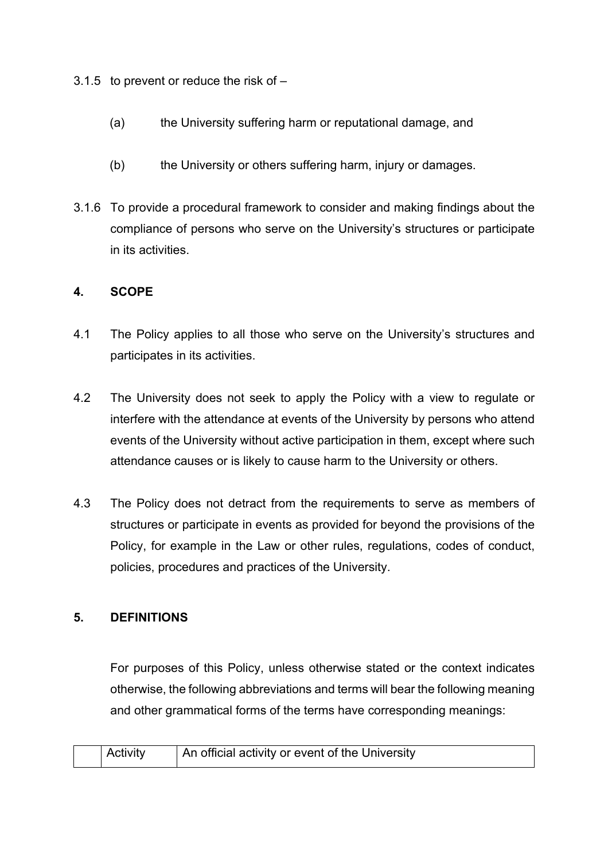3.1.5 to prevent or reduce the risk of –

- (a) the University suffering harm or reputational damage, and
- (b) the University or others suffering harm, injury or damages.
- 3.1.6 To provide a procedural framework to consider and making findings about the compliance of persons who serve on the University's structures or participate in its activities.

# **4. SCOPE**

- 4.1 The Policy applies to all those who serve on the University's structures and participates in its activities.
- 4.2 The University does not seek to apply the Policy with a view to regulate or interfere with the attendance at events of the University by persons who attend events of the University without active participation in them, except where such attendance causes or is likely to cause harm to the University or others.
- 4.3 The Policy does not detract from the requirements to serve as members of structures or participate in events as provided for beyond the provisions of the Policy, for example in the Law or other rules, regulations, codes of conduct, policies, procedures and practices of the University.

# **5. DEFINITIONS**

For purposes of this Policy, unless otherwise stated or the context indicates otherwise, the following abbreviations and terms will bear the following meaning and other grammatical forms of the terms have corresponding meanings:

| <b>Activity</b> | An official activity or event of the University |
|-----------------|-------------------------------------------------|
|                 |                                                 |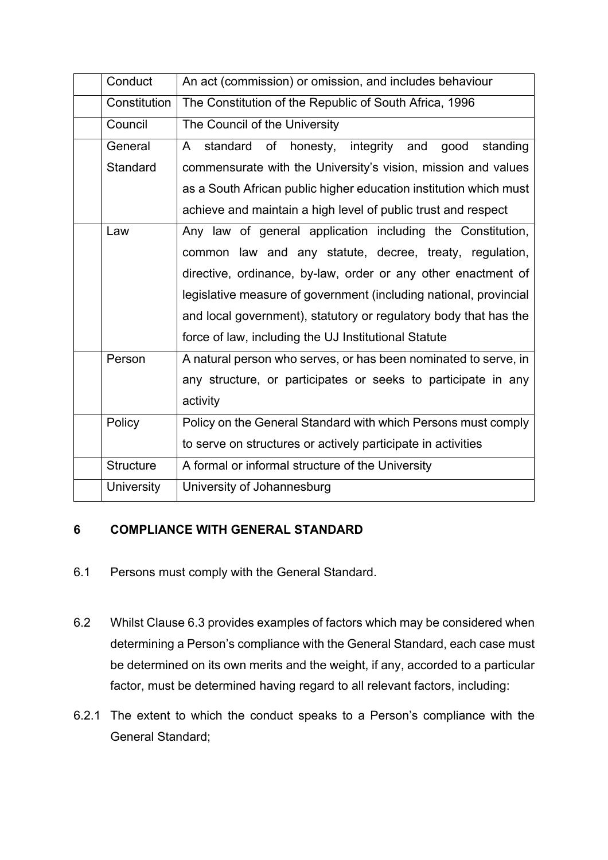| Conduct           | An act (commission) or omission, and includes behaviour             |
|-------------------|---------------------------------------------------------------------|
| Constitution      | The Constitution of the Republic of South Africa, 1996              |
| Council           | The Council of the University                                       |
| General           | of<br>honesty, integrity and<br>standard<br>good<br>standing<br>A – |
| Standard          | commensurate with the University's vision, mission and values       |
|                   | as a South African public higher education institution which must   |
|                   | achieve and maintain a high level of public trust and respect       |
| Law               | Any law of general application including the Constitution,          |
|                   | common law and any statute, decree, treaty, regulation,             |
|                   | directive, ordinance, by-law, order or any other enactment of       |
|                   | legislative measure of government (including national, provincial   |
|                   | and local government), statutory or regulatory body that has the    |
|                   | force of law, including the UJ Institutional Statute                |
| Person            | A natural person who serves, or has been nominated to serve, in     |
|                   | any structure, or participates or seeks to participate in any       |
|                   | activity                                                            |
| Policy            | Policy on the General Standard with which Persons must comply       |
|                   | to serve on structures or actively participate in activities        |
| <b>Structure</b>  | A formal or informal structure of the University                    |
| <b>University</b> | University of Johannesburg                                          |

# **6 COMPLIANCE WITH GENERAL STANDARD**

- 6.1 Persons must comply with the General Standard.
- 6.2 Whilst Clause 6.3 provides examples of factors which may be considered when determining a Person's compliance with the General Standard, each case must be determined on its own merits and the weight, if any, accorded to a particular factor, must be determined having regard to all relevant factors, including:
- 6.2.1 The extent to which the conduct speaks to a Person's compliance with the General Standard;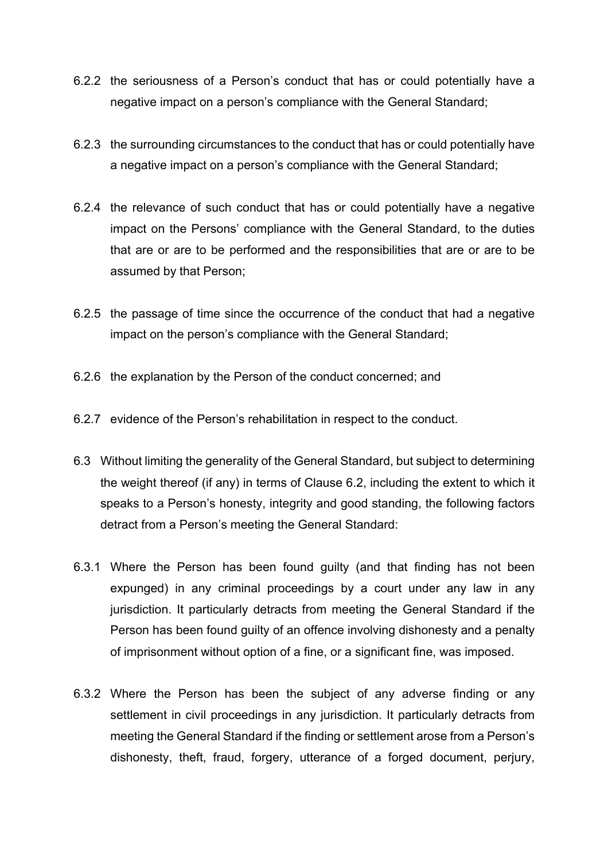- 6.2.2 the seriousness of a Person's conduct that has or could potentially have a negative impact on a person's compliance with the General Standard;
- 6.2.3 the surrounding circumstances to the conduct that has or could potentially have a negative impact on a person's compliance with the General Standard;
- 6.2.4 the relevance of such conduct that has or could potentially have a negative impact on the Persons' compliance with the General Standard, to the duties that are or are to be performed and the responsibilities that are or are to be assumed by that Person;
- 6.2.5 the passage of time since the occurrence of the conduct that had a negative impact on the person's compliance with the General Standard;
- 6.2.6 the explanation by the Person of the conduct concerned; and
- 6.2.7 evidence of the Person's rehabilitation in respect to the conduct.
- 6.3 Without limiting the generality of the General Standard, but subject to determining the weight thereof (if any) in terms of Clause 6.2, including the extent to which it speaks to a Person's honesty, integrity and good standing, the following factors detract from a Person's meeting the General Standard:
- 6.3.1 Where the Person has been found guilty (and that finding has not been expunged) in any criminal proceedings by a court under any law in any jurisdiction. It particularly detracts from meeting the General Standard if the Person has been found guilty of an offence involving dishonesty and a penalty of imprisonment without option of a fine, or a significant fine, was imposed.
- 6.3.2 Where the Person has been the subject of any adverse finding or any settlement in civil proceedings in any jurisdiction. It particularly detracts from meeting the General Standard if the finding or settlement arose from a Person's dishonesty, theft, fraud, forgery, utterance of a forged document, perjury,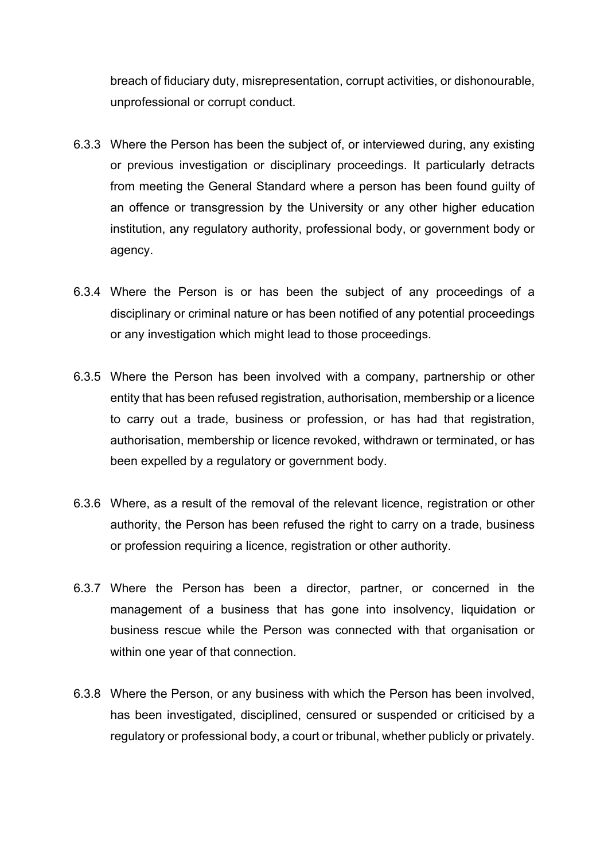breach of fiduciary duty, misrepresentation, corrupt activities, or dishonourable, unprofessional or corrupt conduct.

- 6.3.3 Where the Person has been the subject of, or interviewed during, any existing or previous investigation or disciplinary proceedings. It particularly detracts from meeting the General Standard where a person has been found guilty of an offence or transgression by the University or any other higher education institution, any regulatory authority, professional body, or government body or agency.
- 6.3.4 Where the Person is or has been the subject of any proceedings of a disciplinary or criminal nature or has been notified of any potential proceedings or any investigation which might lead to those proceedings.
- 6.3.5 Where the Person has been involved with a company, partnership or other entity that has been refused registration, authorisation, membership or a licence to carry out a trade, business or profession, or has had that registration, authorisation, membership or licence revoked, withdrawn or terminated, or has been expelled by a regulatory or government body.
- 6.3.6 Where, as a result of the removal of the relevant licence, registration or other authority, the Person has been refused the right to carry on a trade, business or profession requiring a licence, registration or other authority.
- 6.3.7 Where the Person has been a director, partner, or concerned in the management of a business that has gone into insolvency, liquidation or business rescue while the Person was connected with that organisation or within one year of that connection.
- 6.3.8 Where the Person, or any business with which the Person has been involved, has been investigated, disciplined, censured or suspended or criticised by a regulatory or professional body, a court or tribunal, whether publicly or privately.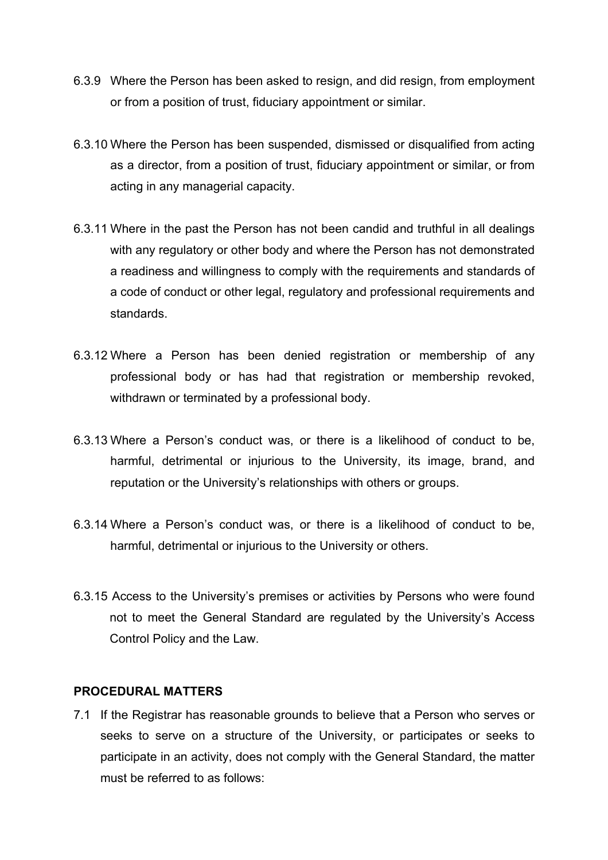- 6.3.9 Where the Person has been asked to resign, and did resign, from employment or from a position of trust, fiduciary appointment or similar.
- 6.3.10 Where the Person has been suspended, dismissed or disqualified from acting as a director, from a position of trust, fiduciary appointment or similar, or from acting in any managerial capacity.
- 6.3.11 Where in the past the Person has not been candid and truthful in all dealings with any regulatory or other body and where the Person has not demonstrated a readiness and willingness to comply with the requirements and standards of a code of conduct or other legal, regulatory and professional requirements and standards.
- 6.3.12 Where a Person has been denied registration or membership of any professional body or has had that registration or membership revoked, withdrawn or terminated by a professional body.
- 6.3.13 Where a Person's conduct was, or there is a likelihood of conduct to be, harmful, detrimental or injurious to the University, its image, brand, and reputation or the University's relationships with others or groups.
- 6.3.14 Where a Person's conduct was, or there is a likelihood of conduct to be, harmful, detrimental or injurious to the University or others.
- 6.3.15 Access to the University's premises or activities by Persons who were found not to meet the General Standard are regulated by the University's Access Control Policy and the Law.

#### **PROCEDURAL MATTERS**

7.1 If the Registrar has reasonable grounds to believe that a Person who serves or seeks to serve on a structure of the University, or participates or seeks to participate in an activity, does not comply with the General Standard, the matter must be referred to as follows: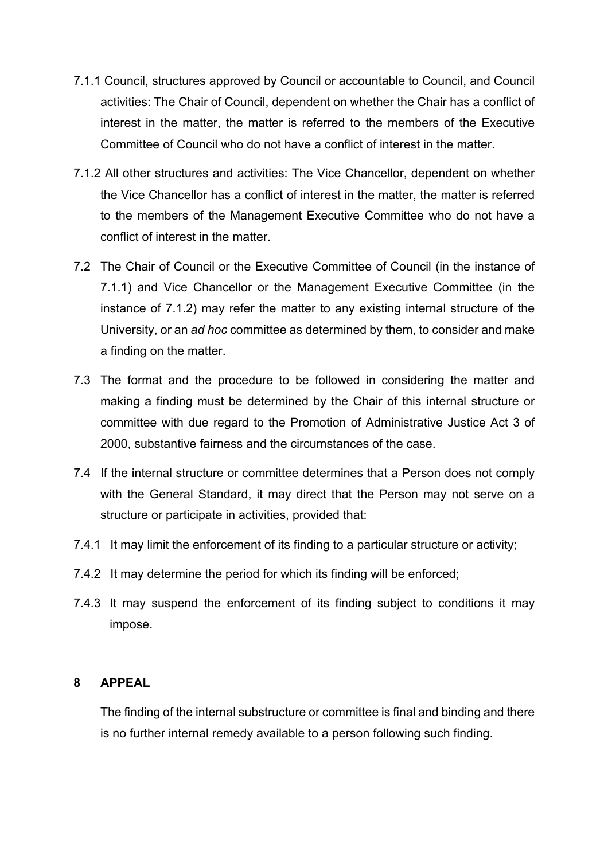- 7.1.1 Council, structures approved by Council or accountable to Council, and Council activities: The Chair of Council, dependent on whether the Chair has a conflict of interest in the matter, the matter is referred to the members of the Executive Committee of Council who do not have a conflict of interest in the matter.
- 7.1.2 All other structures and activities: The Vice Chancellor, dependent on whether the Vice Chancellor has a conflict of interest in the matter, the matter is referred to the members of the Management Executive Committee who do not have a conflict of interest in the matter.
- 7.2 The Chair of Council or the Executive Committee of Council (in the instance of 7.1.1) and Vice Chancellor or the Management Executive Committee (in the instance of 7.1.2) may refer the matter to any existing internal structure of the University, or an *ad hoc* committee as determined by them, to consider and make a finding on the matter.
- 7.3 The format and the procedure to be followed in considering the matter and making a finding must be determined by the Chair of this internal structure or committee with due regard to the Promotion of Administrative Justice Act 3 of 2000, substantive fairness and the circumstances of the case.
- 7.4 If the internal structure or committee determines that a Person does not comply with the General Standard, it may direct that the Person may not serve on a structure or participate in activities, provided that:
- 7.4.1 It may limit the enforcement of its finding to a particular structure or activity;
- 7.4.2 It may determine the period for which its finding will be enforced;
- 7.4.3 It may suspend the enforcement of its finding subject to conditions it may impose.

#### **8 APPEAL**

The finding of the internal substructure or committee is final and binding and there is no further internal remedy available to a person following such finding.